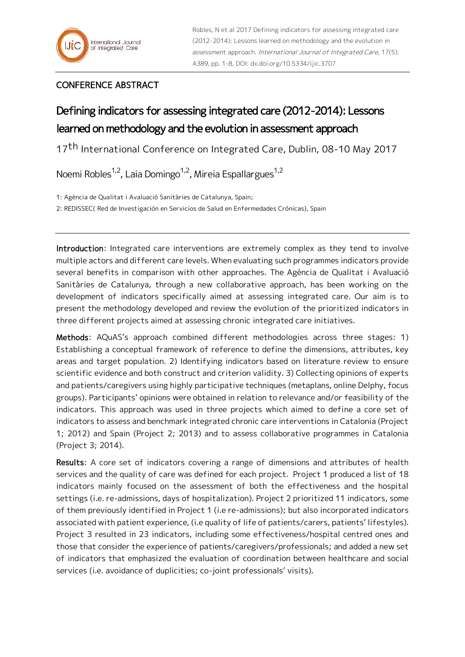## CONFERENCE ABSTRACT

## Defining indicators for assessing integrated care (2012-2014): Lessons learned on methodology and the evolution in assessment approach

17<sup>th</sup> International Conference on Integrated Care, Dublin, 08-10 May 2017

Noemi Robles<sup>1,2</sup>, Laia Domingo<sup>1,2</sup>, Mireia Espallargues<sup>1,2</sup>

1: Agència de Qualitat i Avaluació Sanitàries de Catalunya, Spain;

2: REDISSEC( Red de Investigación en Servicios de Salud en Enfermedades Crónicas), Spain

Introduction: Integrated care interventions are extremely complex as they tend to involve multiple actors and different care levels. When evaluating such programmes indicators provide several benefits in comparison with other approaches. The Agència de Qualitat i Avaluació Sanitàries de Catalunya, through a new collaborative approach, has been working on the development of indicators specifically aimed at assessing integrated care. Our aim is to present the methodology developed and review the evolution of the prioritized indicators in three different projects aimed at assessing chronic integrated care initiatives.

Methods: AQuAS's approach combined different methodologies across three stages: 1) Establishing a conceptual framework of reference to define the dimensions, attributes, key areas and target population. 2) Identifying indicators based on literature review to ensure scientific evidence and both construct and criterion validity. 3) Collecting opinions of experts and patients/caregivers using highly participative techniques (metaplans, online Delphy, focus groups). Participants' opinions were obtained in relation to relevance and/or feasibility of the indicators. This approach was used in three projects which aimed to define a core set of indicators to assess and benchmark integrated chronic care interventions in Catalonia (Project 1; 2012) and Spain (Project 2; 2013) and to assess collaborative programmes in Catalonia (Project 3; 2014).

Results: A core set of indicators covering a range of dimensions and attributes of health services and the quality of care was defined for each project. Project 1 produced a list of 18 indicators mainly focused on the assessment of both the effectiveness and the hospital settings (i.e. re-admissions, days of hospitalization). Project 2 prioritized 11 indicators, some of them previously identified in Project 1 (i.e re-admissions); but also incorporated indicators associated with patient experience, (i.e quality of life of patients/carers, patients' lifestyles). Project 3 resulted in 23 indicators, including some effectiveness/hospital centred ones and those that consider the experience of patients/caregivers/professionals; and added a new set of indicators that emphasized the evaluation of coordination between healthcare and social services (i.e. avoidance of duplicities; co-joint professionals' visits).